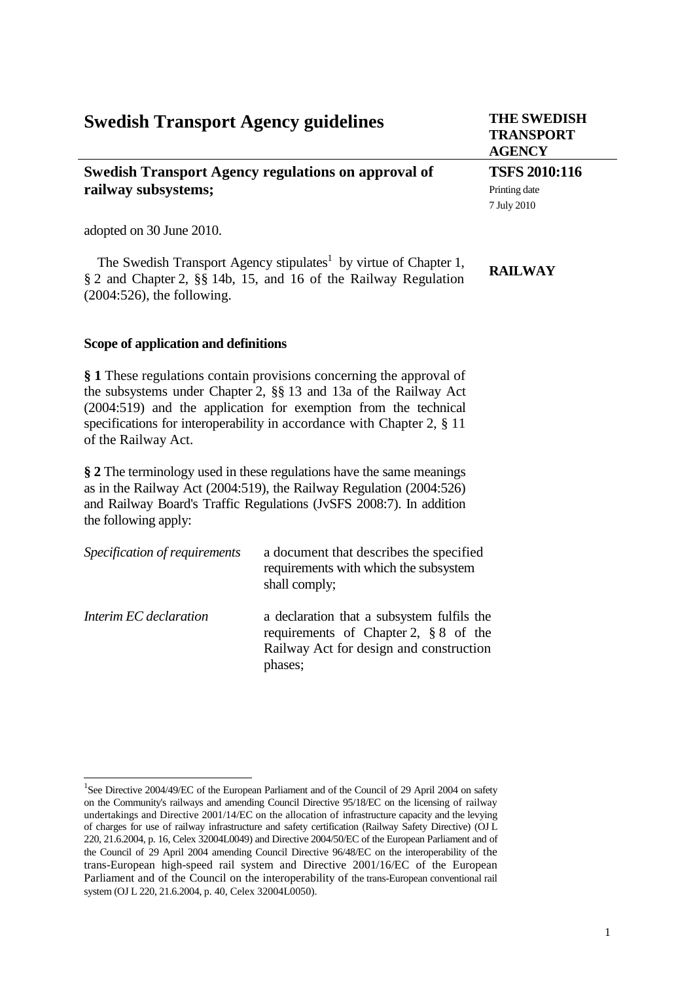# **Swedish Transport Agency guidelines THE SWEDISH**

## **Swedish Transport Agency regulations on approval of railway subsystems;**

adopted on 30 June 2010.

1

The Swedish Transport Agency stipulates<sup>1</sup> by virtue of Chapter 1, § 2 and Chapter 2, §§ 14b, 15, and 16 of the Railway Regulation (2004:526), the following.

#### **Scope of application and definitions**

**§ 1** These regulations contain provisions concerning the approval of the subsystems under Chapter 2, §§ 13 and 13a of the Railway Act (2004:519) and the application for exemption from the technical specifications for interoperability in accordance with Chapter 2, § 11 of the Railway Act.

**§ 2** The terminology used in these regulations have the same meanings as in the Railway Act (2004:519), the Railway Regulation (2004:526) and Railway Board's Traffic Regulations (JvSFS 2008:7). In addition the following apply:

| Specification of requirements | a document that describes the specified<br>requirements with which the subsystem<br>shall comply;                                            |
|-------------------------------|----------------------------------------------------------------------------------------------------------------------------------------------|
| Interim EC declaration        | a declaration that a subsystem fulfils the<br>requirements of Chapter 2, $\S 8$ of the<br>Railway Act for design and construction<br>phases; |

**TRANSPORT AGENCY**

**TSFS 2010:116** Printing date 7 July 2010

#### **RAILWAY**

<sup>&</sup>lt;sup>1</sup>See Directive 2004/49/EC of the European Parliament and of the Council of 29 April 2004 on safety on the Community's railways and amending Council Directive 95/18/EC on the licensing of railway undertakings and Directive 2001/14/EC on the allocation of infrastructure capacity and the levying of charges for use of railway infrastructure and safety certification (Railway Safety Directive) (OJ L 220, 21.6.2004, p. 16, Celex 32004L0049) and Directive 2004/50/EC of the European Parliament and of the Council of 29 April 2004 amending Council Directive 96/48/EC on the interoperability of the trans-European high-speed rail system and Directive 2001/16/EC of the European Parliament and of the Council on the interoperability of the trans-European conventional rail system (OJ L 220, 21.6.2004, p. 40, Celex 32004L0050).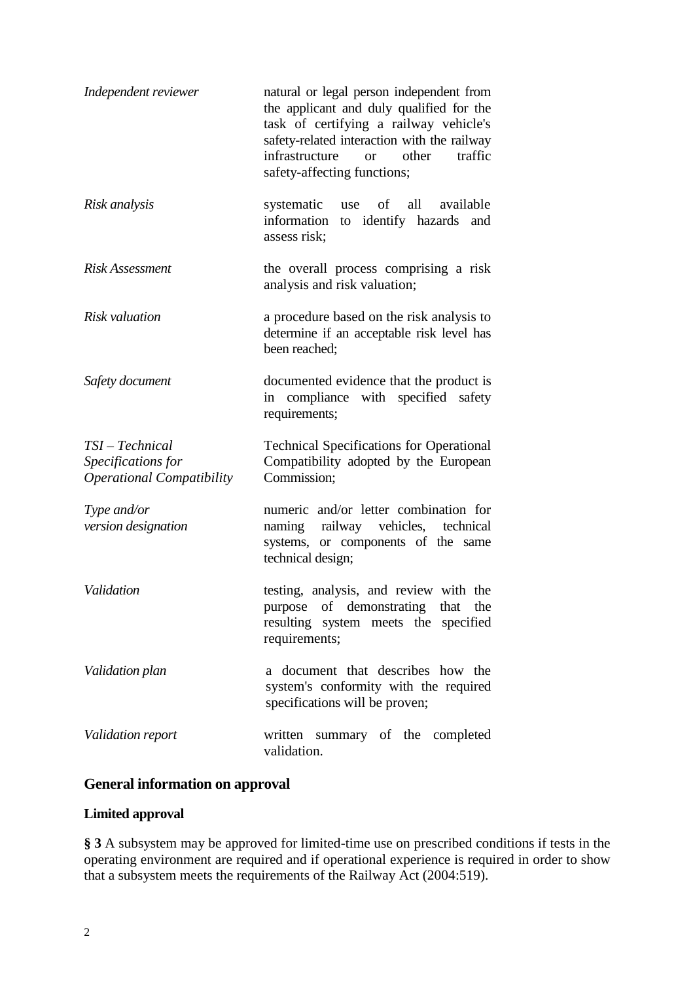| Independent reviewer                                                      | natural or legal person independent from<br>the applicant and duly qualified for the<br>task of certifying a railway vehicle's<br>safety-related interaction with the railway<br>infrastructure<br>other<br>traffic<br><b>or</b><br>safety-affecting functions; |
|---------------------------------------------------------------------------|-----------------------------------------------------------------------------------------------------------------------------------------------------------------------------------------------------------------------------------------------------------------|
| Risk analysis                                                             | systematic<br>of<br>all<br>available<br>use<br>information<br>to identify hazards<br>and<br>assess risk;                                                                                                                                                        |
| <b>Risk Assessment</b>                                                    | the overall process comprising a risk<br>analysis and risk valuation;                                                                                                                                                                                           |
| Risk valuation                                                            | a procedure based on the risk analysis to<br>determine if an acceptable risk level has<br>been reached:                                                                                                                                                         |
| Safety document                                                           | documented evidence that the product is<br>in compliance with specified safety<br>requirements;                                                                                                                                                                 |
| $TSI-Technical$<br>Specifications for<br><b>Operational Compatibility</b> | <b>Technical Specifications for Operational</b><br>Compatibility adopted by the European<br>Commission;                                                                                                                                                         |
| Type and/or<br>version designation                                        | numeric and/or letter combination for<br>naming railway vehicles,<br>technical<br>systems, or components of the same<br>technical design;                                                                                                                       |
| Validation                                                                | testing, analysis, and review with the<br>purpose of demonstrating<br>that the<br>resulting system meets the specified<br>requirements;                                                                                                                         |
| Validation plan                                                           | a document that describes how the<br>system's conformity with the required<br>specifications will be proven;                                                                                                                                                    |
| Validation report                                                         | written summary of the completed<br>validation.                                                                                                                                                                                                                 |

## **General information on approval**

## **Limited approval**

**§ 3** A subsystem may be approved for limited-time use on prescribed conditions if tests in the operating environment are required and if operational experience is required in order to show that a subsystem meets the requirements of the Railway Act (2004:519).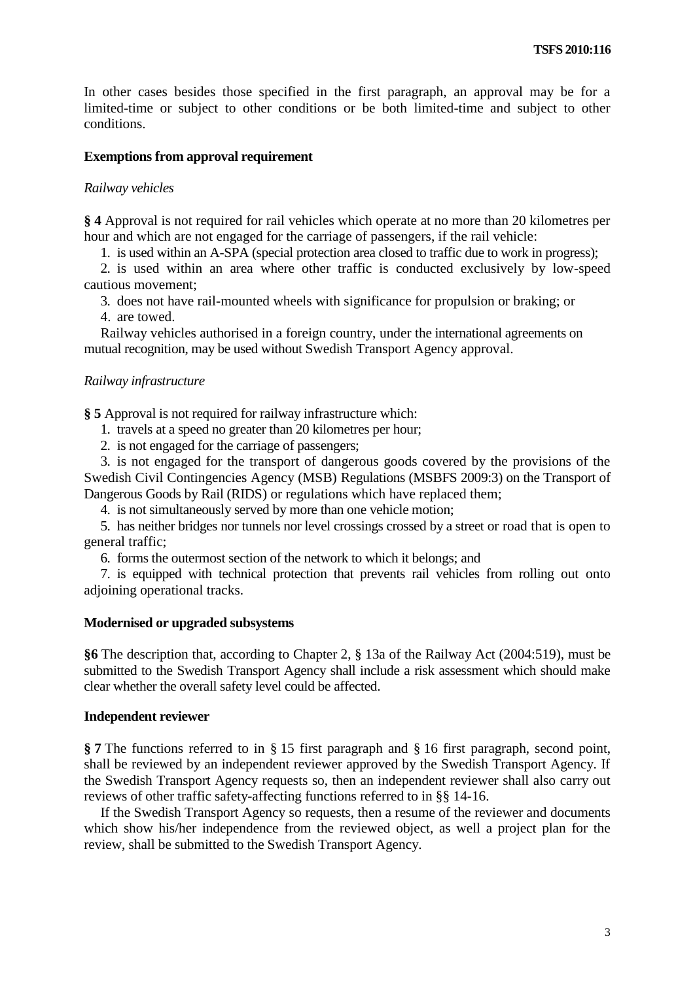In other cases besides those specified in the first paragraph, an approval may be for a limited-time or subject to other conditions or be both limited-time and subject to other conditions.

### **Exemptions from approval requirement**

#### *Railway vehicles*

**§ 4** Approval is not required for rail vehicles which operate at no more than 20 kilometres per hour and which are not engaged for the carriage of passengers, if the rail vehicle:

1. is used within an A-SPA (special protection area closed to traffic due to work in progress);

2. is used within an area where other traffic is conducted exclusively by low-speed cautious movement;

3. does not have rail-mounted wheels with significance for propulsion or braking; or

4. are towed.

Railway vehicles authorised in a foreign country, under the international agreements on mutual recognition, may be used without Swedish Transport Agency approval.

#### *Railway infrastructure*

**§ 5** Approval is not required for railway infrastructure which:

- 1. travels at a speed no greater than 20 kilometres per hour;
- 2. is not engaged for the carriage of passengers;

3. is not engaged for the transport of dangerous goods covered by the provisions of the Swedish Civil Contingencies Agency (MSB) Regulations (MSBFS 2009:3) on the Transport of Dangerous Goods by Rail (RIDS) or regulations which have replaced them;

4. is not simultaneously served by more than one vehicle motion;

5. has neither bridges nor tunnels nor level crossings crossed by a street or road that is open to general traffic;

6. forms the outermost section of the network to which it belongs; and

7. is equipped with technical protection that prevents rail vehicles from rolling out onto adjoining operational tracks.

#### **Modernised or upgraded subsystems**

**§6** The description that, according to Chapter 2, § 13a of the Railway Act (2004:519), must be submitted to the Swedish Transport Agency shall include a risk assessment which should make clear whether the overall safety level could be affected.

#### **Independent reviewer**

**§ 7** The functions referred to in § 15 first paragraph and § 16 first paragraph, second point, shall be reviewed by an independent reviewer approved by the Swedish Transport Agency. If the Swedish Transport Agency requests so, then an independent reviewer shall also carry out reviews of other traffic safety-affecting functions referred to in §§ 14-16.

If the Swedish Transport Agency so requests, then a resume of the reviewer and documents which show his/her independence from the reviewed object, as well a project plan for the review, shall be submitted to the Swedish Transport Agency.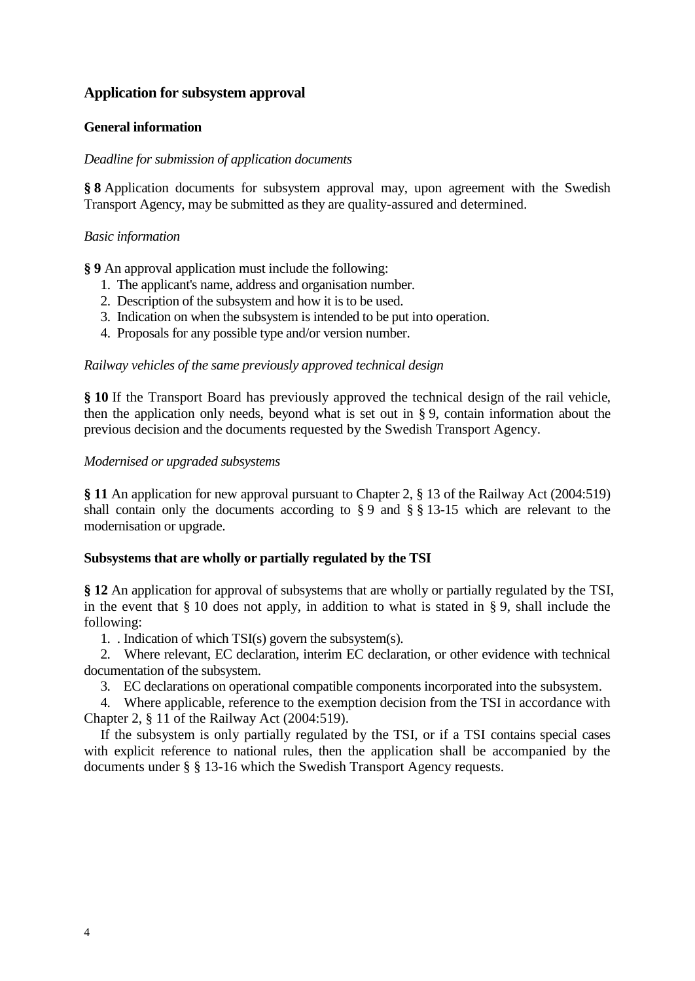## **Application for subsystem approval**

## **General information**

## *Deadline for submission of application documents*

**§ 8** Application documents for subsystem approval may, upon agreement with the Swedish Transport Agency, may be submitted as they are quality-assured and determined.

## *Basic information*

**§ 9** An approval application must include the following:

- 1. The applicant's name, address and organisation number.
- 2. Description of the subsystem and how it is to be used.
- 3. Indication on when the subsystem is intended to be put into operation.
- 4. Proposals for any possible type and/or version number.

*Railway vehicles of the same previously approved technical design*

**§ 10** If the Transport Board has previously approved the technical design of the rail vehicle, then the application only needs, beyond what is set out in § 9, contain information about the previous decision and the documents requested by the Swedish Transport Agency.

## *Modernised or upgraded subsystems*

**§ 11** An application for new approval pursuant to Chapter 2, § 13 of the Railway Act (2004:519) shall contain only the documents according to § 9 and § § 13-15 which are relevant to the modernisation or upgrade.

## **Subsystems that are wholly or partially regulated by the TSI**

**§ 12** An application for approval of subsystems that are wholly or partially regulated by the TSI, in the event that § 10 does not apply, in addition to what is stated in § 9, shall include the following:

1. . Indication of which TSI(s) govern the subsystem(s).

2. Where relevant, EC declaration, interim EC declaration, or other evidence with technical documentation of the subsystem.

3. EC declarations on operational compatible components incorporated into the subsystem.

4. Where applicable, reference to the exemption decision from the TSI in accordance with Chapter 2, § 11 of the Railway Act (2004:519).

If the subsystem is only partially regulated by the TSI, or if a TSI contains special cases with explicit reference to national rules, then the application shall be accompanied by the documents under § § 13-16 which the Swedish Transport Agency requests.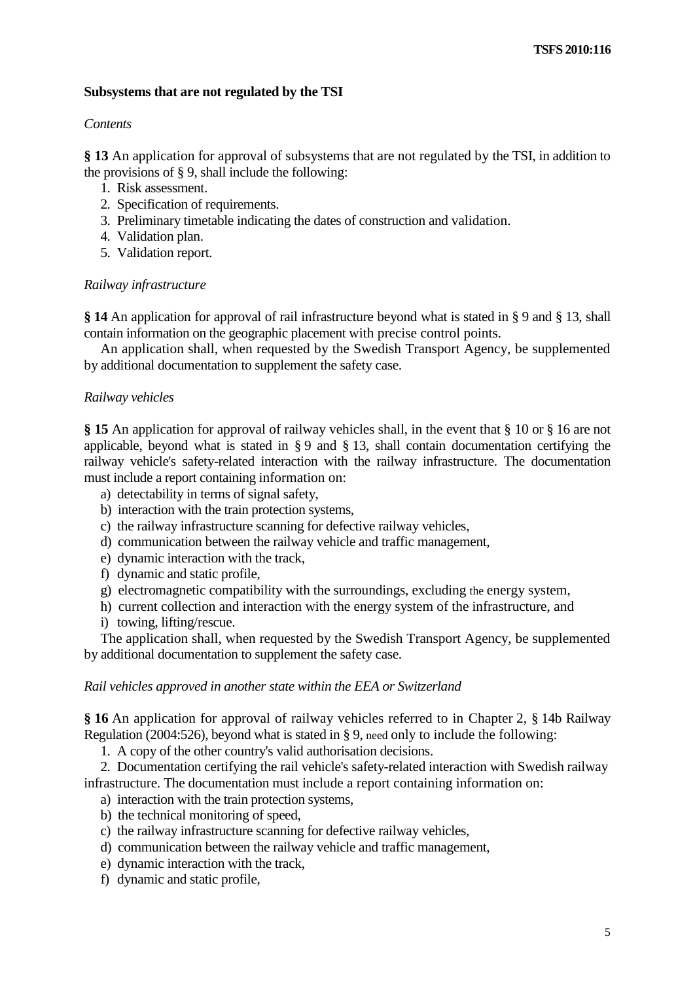## **Subsystems that are not regulated by the TSI**

#### *Contents*

**§ 13** An application for approval of subsystems that are not regulated by the TSI, in addition to the provisions of § 9, shall include the following:

- 1. Risk assessment.
- 2. Specification of requirements.
- 3. Preliminary timetable indicating the dates of construction and validation.
- 4. Validation plan.
- 5. Validation report.

#### *Railway infrastructure*

**§ 14** An application for approval of rail infrastructure beyond what is stated in § 9 and § 13, shall contain information on the geographic placement with precise control points.

An application shall, when requested by the Swedish Transport Agency, be supplemented by additional documentation to supplement the safety case.

#### *Railway vehicles*

**§ 15** An application for approval of railway vehicles shall, in the event that § 10 or § 16 are not applicable, beyond what is stated in § 9 and § 13, shall contain documentation certifying the railway vehicle's safety-related interaction with the railway infrastructure. The documentation must include a report containing information on:

- a) detectability in terms of signal safety,
- b) interaction with the train protection systems,
- c) the railway infrastructure scanning for defective railway vehicles,
- d) communication between the railway vehicle and traffic management,
- e) dynamic interaction with the track,
- f) dynamic and static profile,
- g) electromagnetic compatibility with the surroundings, excluding the energy system,
- h) current collection and interaction with the energy system of the infrastructure, and
- i) towing, lifting/rescue.

The application shall, when requested by the Swedish Transport Agency, be supplemented by additional documentation to supplement the safety case.

#### *Rail vehicles approved in another state within the EEA or Switzerland*

**§ 16** An application for approval of railway vehicles referred to in Chapter 2, § 14b Railway Regulation (2004:526), beyond what is stated in § 9, need only to include the following:

1. A copy of the other country's valid authorisation decisions.

2. Documentation certifying the rail vehicle's safety-related interaction with Swedish railway infrastructure. The documentation must include a report containing information on:

- a) interaction with the train protection systems,
- b) the technical monitoring of speed,
- c) the railway infrastructure scanning for defective railway vehicles,
- d) communication between the railway vehicle and traffic management,
- e) dynamic interaction with the track,
- f) dynamic and static profile,